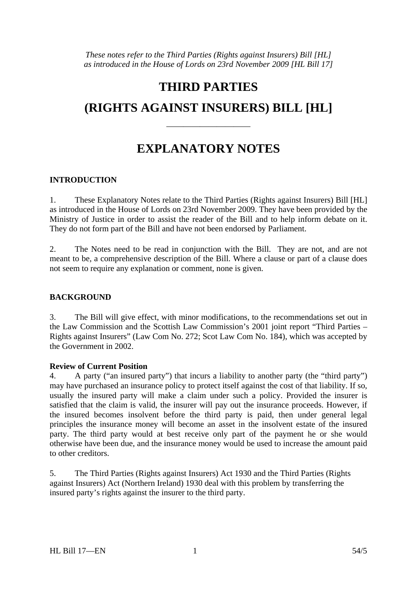# **THIRD PARTIES**

# **(RIGHTS AGAINST INSURERS) BILL [HL]**

——————————

# **EXPLANATORY NOTES**

## **INTRODUCTION**

1. These Explanatory Notes relate to the Third Parties (Rights against Insurers) Bill [HL] as introduced in the House of Lords on 23rd November 2009. They have been provided by the Ministry of Justice in order to assist the reader of the Bill and to help inform debate on it. They do not form part of the Bill and have not been endorsed by Parliament.

2. The Notes need to be read in conjunction with the Bill. They are not, and are not meant to be, a comprehensive description of the Bill. Where a clause or part of a clause does not seem to require any explanation or comment, none is given.

## **BACKGROUND**

3. The Bill will give effect, with minor modifications, to the recommendations set out in the Law Commission and the Scottish Law Commission's 2001 joint report "Third Parties – Rights against Insurers" (Law Com No. 272; Scot Law Com No. 184), which was accepted by the Government in 2002.

#### **Review of Current Position**

4. A party ("an insured party") that incurs a liability to another party (the "third party") may have purchased an insurance policy to protect itself against the cost of that liability. If so, usually the insured party will make a claim under such a policy. Provided the insurer is satisfied that the claim is valid, the insurer will pay out the insurance proceeds. However, if the insured becomes insolvent before the third party is paid, then under general legal principles the insurance money will become an asset in the insolvent estate of the insured party. The third party would at best receive only part of the payment he or she would otherwise have been due, and the insurance money would be used to increase the amount paid to other creditors.

5. The Third Parties (Rights against Insurers) Act 1930 and the Third Parties (Rights against Insurers) Act (Northern Ireland) 1930 deal with this problem by transferring the insured party's rights against the insurer to the third party.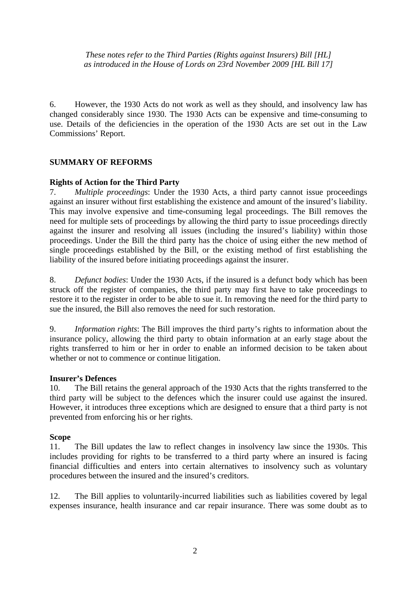6. However, the 1930 Acts do not work as well as they should, and insolvency law has changed considerably since 1930. The 1930 Acts can be expensive and time-consuming to use. Details of the deficiencies in the operation of the 1930 Acts are set out in the Law Commissions' Report.

## **SUMMARY OF REFORMS**

#### **Rights of Action for the Third Party**

7. *Multiple proceedings*: Under the 1930 Acts, a third party cannot issue proceedings against an insurer without first establishing the existence and amount of the insured's liability. This may involve expensive and time-consuming legal proceedings. The Bill removes the need for multiple sets of proceedings by allowing the third party to issue proceedings directly against the insurer and resolving all issues (including the insured's liability) within those proceedings. Under the Bill the third party has the choice of using either the new method of single proceedings established by the Bill, or the existing method of first establishing the liability of the insured before initiating proceedings against the insurer.

8. *Defunct bodies*: Under the 1930 Acts, if the insured is a defunct body which has been struck off the register of companies, the third party may first have to take proceedings to restore it to the register in order to be able to sue it. In removing the need for the third party to sue the insured, the Bill also removes the need for such restoration.

9. *Information rights*: The Bill improves the third party's rights to information about the insurance policy, allowing the third party to obtain information at an early stage about the rights transferred to him or her in order to enable an informed decision to be taken about whether or not to commence or continue litigation.

#### **Insurer's Defences**

10. The Bill retains the general approach of the 1930 Acts that the rights transferred to the third party will be subject to the defences which the insurer could use against the insured. However, it introduces three exceptions which are designed to ensure that a third party is not prevented from enforcing his or her rights.

#### **Scope**

11. The Bill updates the law to reflect changes in insolvency law since the 1930s. This includes providing for rights to be transferred to a third party where an insured is facing financial difficulties and enters into certain alternatives to insolvency such as voluntary procedures between the insured and the insured's creditors.

12. The Bill applies to voluntarily-incurred liabilities such as liabilities covered by legal expenses insurance, health insurance and car repair insurance. There was some doubt as to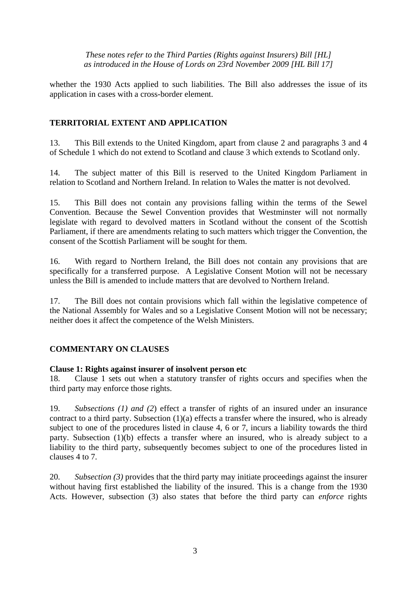whether the 1930 Acts applied to such liabilities. The Bill also addresses the issue of its application in cases with a cross-border element.

## **TERRITORIAL EXTENT AND APPLICATION**

13. This Bill extends to the United Kingdom, apart from clause 2 and paragraphs 3 and 4 of Schedule 1 which do not extend to Scotland and clause 3 which extends to Scotland only.

14. The subject matter of this Bill is reserved to the United Kingdom Parliament in relation to Scotland and Northern Ireland. In relation to Wales the matter is not devolved.

15. This Bill does not contain any provisions falling within the terms of the Sewel Convention. Because the Sewel Convention provides that Westminster will not normally legislate with regard to devolved matters in Scotland without the consent of the Scottish Parliament, if there are amendments relating to such matters which trigger the Convention, the consent of the Scottish Parliament will be sought for them.

16. With regard to Northern Ireland, the Bill does not contain any provisions that are specifically for a transferred purpose. A Legislative Consent Motion will not be necessary unless the Bill is amended to include matters that are devolved to Northern Ireland.

17. The Bill does not contain provisions which fall within the legislative competence of the National Assembly for Wales and so a Legislative Consent Motion will not be necessary; neither does it affect the competence of the Welsh Ministers.

## **COMMENTARY ON CLAUSES**

## **Clause 1: Rights against insurer of insolvent person etc**

18. Clause 1 sets out when a statutory transfer of rights occurs and specifies when the third party may enforce those rights.

19. *Subsections (1) and (2*) effect a transfer of rights of an insured under an insurance contract to a third party. Subsection (1)(a) effects a transfer where the insured, who is already subject to one of the procedures listed in clause 4, 6 or 7, incurs a liability towards the third party. Subsection (1)(b) effects a transfer where an insured, who is already subject to a liability to the third party, subsequently becomes subject to one of the procedures listed in clauses 4 to 7.

20. *Subsection (3)* provides that the third party may initiate proceedings against the insurer without having first established the liability of the insured. This is a change from the 1930 Acts. However, subsection (3) also states that before the third party can *enforce* rights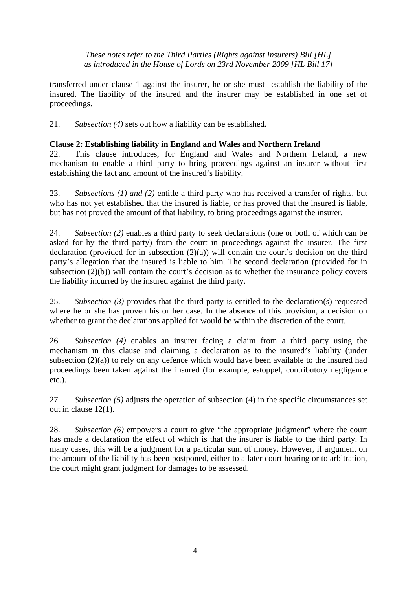transferred under clause 1 against the insurer, he or she must establish the liability of the insured. The liability of the insured and the insurer may be established in one set of proceedings.

21. *Subsection (4)* sets out how a liability can be established.

## **Clause 2: Establishing liability in England and Wales and Northern Ireland**

22. This clause introduces, for England and Wales and Northern Ireland, a new mechanism to enable a third party to bring proceedings against an insurer without first establishing the fact and amount of the insured's liability.

23. *Subsections (1) and (2)* entitle a third party who has received a transfer of rights, but who has not yet established that the insured is liable, or has proved that the insured is liable, but has not proved the amount of that liability, to bring proceedings against the insurer.

24. *Subsection (2)* enables a third party to seek declarations (one or both of which can be asked for by the third party) from the court in proceedings against the insurer. The first declaration (provided for in subsection  $(2)(a)$ ) will contain the court's decision on the third party's allegation that the insured is liable to him. The second declaration (provided for in subsection (2)(b)) will contain the court's decision as to whether the insurance policy covers the liability incurred by the insured against the third party.

25. *Subsection (3)* provides that the third party is entitled to the declaration(s) requested where he or she has proven his or her case. In the absence of this provision, a decision on whether to grant the declarations applied for would be within the discretion of the court.

26. *Subsection (4)* enables an insurer facing a claim from a third party using the mechanism in this clause and claiming a declaration as to the insured's liability (under subsection  $(2)(a)$ ) to rely on any defence which would have been available to the insured had proceedings been taken against the insured (for example, estoppel, contributory negligence etc.).

27. *Subsection (5)* adjusts the operation of subsection (4) in the specific circumstances set out in clause 12(1).

28. *Subsection (6)* empowers a court to give "the appropriate judgment" where the court has made a declaration the effect of which is that the insurer is liable to the third party. In many cases, this will be a judgment for a particular sum of money. However, if argument on the amount of the liability has been postponed, either to a later court hearing or to arbitration, the court might grant judgment for damages to be assessed.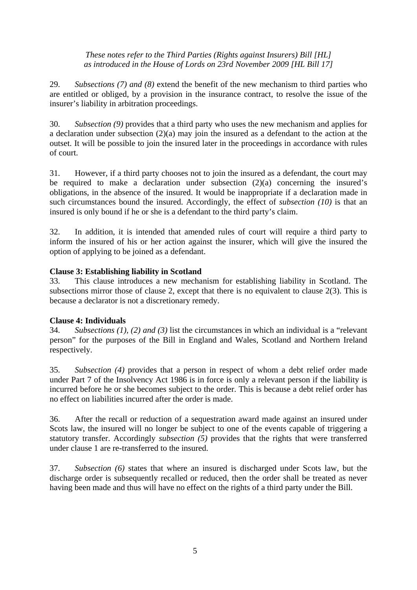29. *Subsections (7) and (8)* extend the benefit of the new mechanism to third parties who are entitled or obliged, by a provision in the insurance contract, to resolve the issue of the insurer's liability in arbitration proceedings.

30. *Subsection (9)* provides that a third party who uses the new mechanism and applies for a declaration under subsection (2)(a) may join the insured as a defendant to the action at the outset. It will be possible to join the insured later in the proceedings in accordance with rules of court.

31. However, if a third party chooses not to join the insured as a defendant, the court may be required to make a declaration under subsection  $(2)(a)$  concerning the insured's obligations, in the absence of the insured. It would be inappropriate if a declaration made in such circumstances bound the insured. Accordingly, the effect of *subsection (10)* is that an insured is only bound if he or she is a defendant to the third party's claim.

32. In addition, it is intended that amended rules of court will require a third party to inform the insured of his or her action against the insurer, which will give the insured the option of applying to be joined as a defendant.

#### **Clause 3: Establishing liability in Scotland**

33. This clause introduces a new mechanism for establishing liability in Scotland. The subsections mirror those of clause 2, except that there is no equivalent to clause 2(3). This is because a declarator is not a discretionary remedy.

#### **Clause 4: Individuals**

34. *Subsections (1), (2) and (3)* list the circumstances in which an individual is a "relevant person" for the purposes of the Bill in England and Wales, Scotland and Northern Ireland respectively.

35. *Subsection (4)* provides that a person in respect of whom a debt relief order made under Part 7 of the Insolvency Act 1986 is in force is only a relevant person if the liability is incurred before he or she becomes subject to the order. This is because a debt relief order has no effect on liabilities incurred after the order is made.

36. After the recall or reduction of a sequestration award made against an insured under Scots law, the insured will no longer be subject to one of the events capable of triggering a statutory transfer. Accordingly *subsection (5)* provides that the rights that were transferred under clause 1 are re-transferred to the insured.

37. *Subsection (6)* states that where an insured is discharged under Scots law, but the discharge order is subsequently recalled or reduced, then the order shall be treated as never having been made and thus will have no effect on the rights of a third party under the Bill.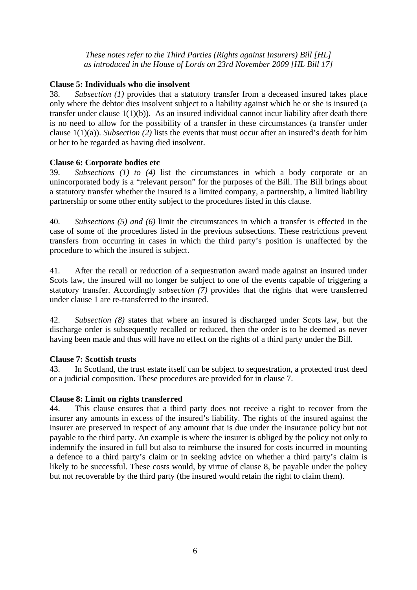#### **Clause 5: Individuals who die insolvent**

38. *Subsection (1)* provides that a statutory transfer from a deceased insured takes place only where the debtor dies insolvent subject to a liability against which he or she is insured (a transfer under clause 1(1)(b)). As an insured individual cannot incur liability after death there is no need to allow for the possibility of a transfer in these circumstances (a transfer under clause 1(1)(a)). *Subsection (2)* lists the events that must occur after an insured's death for him or her to be regarded as having died insolvent.

#### **Clause 6: Corporate bodies etc**

39. *Subsections (1) to (4)* list the circumstances in which a body corporate or an unincorporated body is a "relevant person" for the purposes of the Bill. The Bill brings about a statutory transfer whether the insured is a limited company, a partnership, a limited liability partnership or some other entity subject to the procedures listed in this clause.

40. *Subsections (5) and (6)* limit the circumstances in which a transfer is effected in the case of some of the procedures listed in the previous subsections. These restrictions prevent transfers from occurring in cases in which the third party's position is unaffected by the procedure to which the insured is subject.

41. After the recall or reduction of a sequestration award made against an insured under Scots law, the insured will no longer be subject to one of the events capable of triggering a statutory transfer. Accordingly *subsection (7)* provides that the rights that were transferred under clause 1 are re-transferred to the insured.

42. *Subsection (8)* states that where an insured is discharged under Scots law, but the discharge order is subsequently recalled or reduced, then the order is to be deemed as never having been made and thus will have no effect on the rights of a third party under the Bill.

## **Clause 7: Scottish trusts**

43. In Scotland, the trust estate itself can be subject to sequestration, a protected trust deed or a judicial composition. These procedures are provided for in clause 7.

## **Clause 8: Limit on rights transferred**

44. This clause ensures that a third party does not receive a right to recover from the insurer any amounts in excess of the insured's liability. The rights of the insured against the insurer are preserved in respect of any amount that is due under the insurance policy but not payable to the third party. An example is where the insurer is obliged by the policy not only to indemnify the insured in full but also to reimburse the insured for costs incurred in mounting a defence to a third party's claim or in seeking advice on whether a third party's claim is likely to be successful. These costs would, by virtue of clause 8, be payable under the policy but not recoverable by the third party (the insured would retain the right to claim them).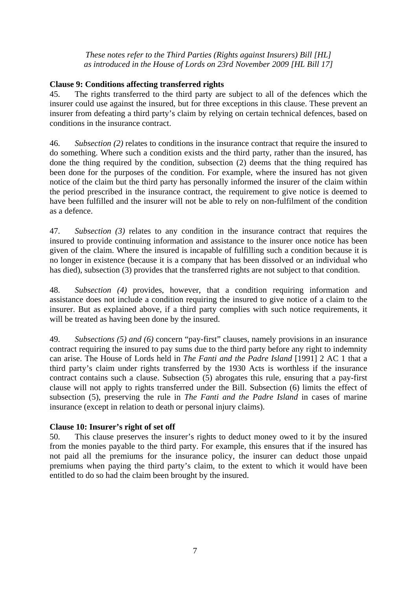## **Clause 9: Conditions affecting transferred rights**

45. The rights transferred to the third party are subject to all of the defences which the insurer could use against the insured, but for three exceptions in this clause. These prevent an insurer from defeating a third party's claim by relying on certain technical defences, based on conditions in the insurance contract.

46. *Subsection (2)* relates to conditions in the insurance contract that require the insured to do something. Where such a condition exists and the third party, rather than the insured, has done the thing required by the condition, subsection (2) deems that the thing required has been done for the purposes of the condition. For example, where the insured has not given notice of the claim but the third party has personally informed the insurer of the claim within the period prescribed in the insurance contract, the requirement to give notice is deemed to have been fulfilled and the insurer will not be able to rely on non-fulfilment of the condition as a defence.

47. *Subsection (3)* relates to any condition in the insurance contract that requires the insured to provide continuing information and assistance to the insurer once notice has been given of the claim. Where the insured is incapable of fulfilling such a condition because it is no longer in existence (because it is a company that has been dissolved or an individual who has died), subsection (3) provides that the transferred rights are not subject to that condition.

48. *Subsection (4)* provides, however, that a condition requiring information and assistance does not include a condition requiring the insured to give notice of a claim to the insurer. But as explained above, if a third party complies with such notice requirements, it will be treated as having been done by the insured.

49. *Subsections (5) and (6)* concern "pay-first" clauses, namely provisions in an insurance contract requiring the insured to pay sums due to the third party before any right to indemnity can arise. The House of Lords held in *The Fanti and the Padre Island* [1991] 2 AC 1 that a third party's claim under rights transferred by the 1930 Acts is worthless if the insurance contract contains such a clause. Subsection (5) abrogates this rule, ensuring that a pay-first clause will not apply to rights transferred under the Bill. Subsection (6) limits the effect of subsection (5), preserving the rule in *The Fanti and the Padre Island* in cases of marine insurance (except in relation to death or personal injury claims).

## **Clause 10: Insurer's right of set off**

50. This clause preserves the insurer's rights to deduct money owed to it by the insured from the monies payable to the third party. For example, this ensures that if the insured has not paid all the premiums for the insurance policy, the insurer can deduct those unpaid premiums when paying the third party's claim, to the extent to which it would have been entitled to do so had the claim been brought by the insured.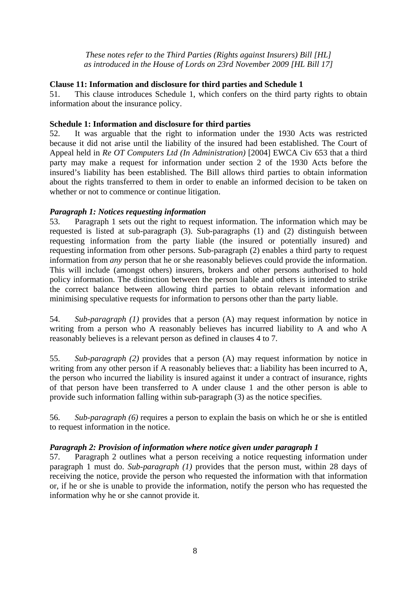## **Clause 11: Information and disclosure for third parties and Schedule 1**

51. This clause introduces Schedule 1, which confers on the third party rights to obtain information about the insurance policy.

#### **Schedule 1: Information and disclosure for third parties**

52. It was arguable that the right to information under the 1930 Acts was restricted because it did not arise until the liability of the insured had been established. The Court of Appeal held in *Re OT Computers Ltd (In Administration)* [2004] EWCA Civ 653 that a third party may make a request for information under section 2 of the 1930 Acts before the insured's liability has been established. The Bill allows third parties to obtain information about the rights transferred to them in order to enable an informed decision to be taken on whether or not to commence or continue litigation.

#### *Paragraph 1: Notices requesting information*

53. Paragraph 1 sets out the right to request information. The information which may be requested is listed at sub-paragraph (3). Sub-paragraphs (1) and (2) distinguish between requesting information from the party liable (the insured or potentially insured) and requesting information from other persons. Sub-paragraph (2) enables a third party to request information from *any* person that he or she reasonably believes could provide the information. This will include (amongst others) insurers, brokers and other persons authorised to hold policy information. The distinction between the person liable and others is intended to strike the correct balance between allowing third parties to obtain relevant information and minimising speculative requests for information to persons other than the party liable.

54. *Sub-paragraph (1)* provides that a person (A) may request information by notice in writing from a person who A reasonably believes has incurred liability to A and who A reasonably believes is a relevant person as defined in clauses 4 to 7.

55. *Sub-paragraph (2)* provides that a person (A) may request information by notice in writing from any other person if A reasonably believes that: a liability has been incurred to A, the person who incurred the liability is insured against it under a contract of insurance, rights of that person have been transferred to A under clause 1 and the other person is able to provide such information falling within sub-paragraph (3) as the notice specifies.

56. *Sub-paragraph (6)* requires a person to explain the basis on which he or she is entitled to request information in the notice.

## *Paragraph 2: Provision of information where notice given under paragraph 1*

57. Paragraph 2 outlines what a person receiving a notice requesting information under paragraph 1 must do. *Sub-paragraph (1)* provides that the person must, within 28 days of receiving the notice, provide the person who requested the information with that information or, if he or she is unable to provide the information, notify the person who has requested the information why he or she cannot provide it.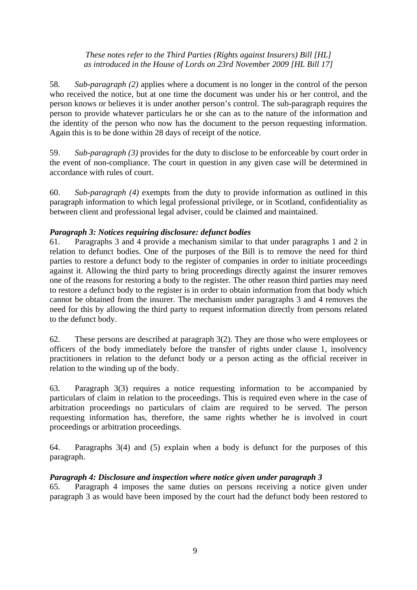58. *Sub-paragraph (2)* applies where a document is no longer in the control of the person who received the notice, but at one time the document was under his or her control, and the person knows or believes it is under another person's control. The sub-paragraph requires the person to provide whatever particulars he or she can as to the nature of the information and the identity of the person who now has the document to the person requesting information. Again this is to be done within 28 days of receipt of the notice.

59. *Sub-paragraph (3)* provides for the duty to disclose to be enforceable by court order in the event of non-compliance. The court in question in any given case will be determined in accordance with rules of court.

60. *Sub-paragraph (4)* exempts from the duty to provide information as outlined in this paragraph information to which legal professional privilege, or in Scotland, confidentiality as between client and professional legal adviser, could be claimed and maintained.

## *Paragraph 3: Notices requiring disclosure: defunct bodies*

61. Paragraphs 3 and 4 provide a mechanism similar to that under paragraphs 1 and 2 in relation to defunct bodies. One of the purposes of the Bill is to remove the need for third parties to restore a defunct body to the register of companies in order to initiate proceedings against it. Allowing the third party to bring proceedings directly against the insurer removes one of the reasons for restoring a body to the register. The other reason third parties may need to restore a defunct body to the register is in order to obtain information from that body which cannot be obtained from the insurer. The mechanism under paragraphs 3 and 4 removes the need for this by allowing the third party to request information directly from persons related to the defunct body.

62. These persons are described at paragraph 3(2). They are those who were employees or officers of the body immediately before the transfer of rights under clause 1, insolvency practitioners in relation to the defunct body or a person acting as the official receiver in relation to the winding up of the body.

63. Paragraph 3(3) requires a notice requesting information to be accompanied by particulars of claim in relation to the proceedings. This is required even where in the case of arbitration proceedings no particulars of claim are required to be served. The person requesting information has, therefore, the same rights whether he is involved in court proceedings or arbitration proceedings.

64. Paragraphs 3(4) and (5) explain when a body is defunct for the purposes of this paragraph.

## *Paragraph 4: Disclosure and inspection where notice given under paragraph 3*

65. Paragraph 4 imposes the same duties on persons receiving a notice given under paragraph 3 as would have been imposed by the court had the defunct body been restored to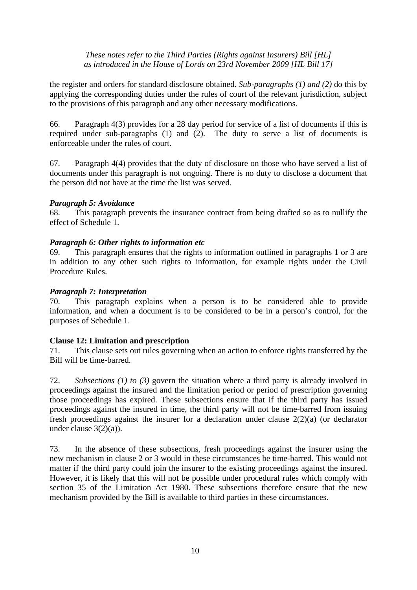the register and orders for standard disclosure obtained. *Sub-paragraphs (1) and (2)* do this by applying the corresponding duties under the rules of court of the relevant jurisdiction, subject to the provisions of this paragraph and any other necessary modifications.

66. Paragraph 4(3) provides for a 28 day period for service of a list of documents if this is required under sub-paragraphs (1) and (2). The duty to serve a list of documents is enforceable under the rules of court.

67. Paragraph 4(4) provides that the duty of disclosure on those who have served a list of documents under this paragraph is not ongoing. There is no duty to disclose a document that the person did not have at the time the list was served.

#### *Paragraph 5: Avoidance*

68. This paragraph prevents the insurance contract from being drafted so as to nullify the effect of Schedule 1.

#### *Paragraph 6: Other rights to information etc*

69. This paragraph ensures that the rights to information outlined in paragraphs 1 or 3 are in addition to any other such rights to information, for example rights under the Civil Procedure Rules.

#### *Paragraph 7: Interpretation*

70. This paragraph explains when a person is to be considered able to provide information, and when a document is to be considered to be in a person's control, for the purposes of Schedule 1.

#### **Clause 12: Limitation and prescription**

71. This clause sets out rules governing when an action to enforce rights transferred by the Bill will be time-barred.

72. *Subsections (1) to (3)* govern the situation where a third party is already involved in proceedings against the insured and the limitation period or period of prescription governing those proceedings has expired. These subsections ensure that if the third party has issued proceedings against the insured in time, the third party will not be time-barred from issuing fresh proceedings against the insurer for a declaration under clause  $2(2)(a)$  (or declarator under clause 3(2)(a)).

73. In the absence of these subsections, fresh proceedings against the insurer using the new mechanism in clause 2 or 3 would in these circumstances be time-barred. This would not matter if the third party could join the insurer to the existing proceedings against the insured. However, it is likely that this will not be possible under procedural rules which comply with section 35 of the Limitation Act 1980. These subsections therefore ensure that the new mechanism provided by the Bill is available to third parties in these circumstances.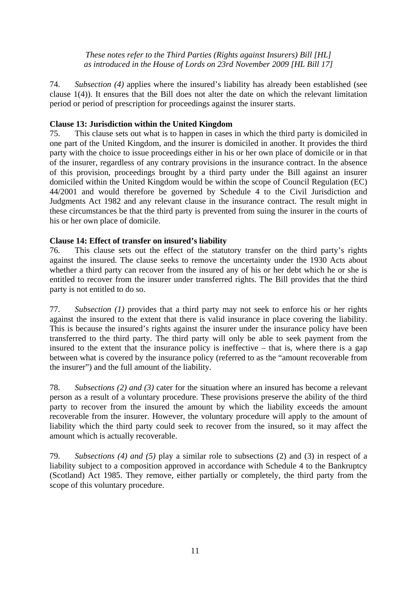74. *Subsection (4)* applies where the insured's liability has already been established (see clause 1(4)). It ensures that the Bill does not alter the date on which the relevant limitation period or period of prescription for proceedings against the insurer starts.

## **Clause 13: Jurisdiction within the United Kingdom**

75. This clause sets out what is to happen in cases in which the third party is domiciled in one part of the United Kingdom, and the insurer is domiciled in another. It provides the third party with the choice to issue proceedings either in his or her own place of domicile or in that of the insurer, regardless of any contrary provisions in the insurance contract. In the absence of this provision, proceedings brought by a third party under the Bill against an insurer domiciled within the United Kingdom would be within the scope of Council Regulation (EC) 44/2001 and would therefore be governed by Schedule 4 to the Civil Jurisdiction and Judgments Act 1982 and any relevant clause in the insurance contract. The result might in these circumstances be that the third party is prevented from suing the insurer in the courts of his or her own place of domicile.

## **Clause 14: Effect of transfer on insured's liability**

76. This clause sets out the effect of the statutory transfer on the third party's rights against the insured. The clause seeks to remove the uncertainty under the 1930 Acts about whether a third party can recover from the insured any of his or her debt which he or she is entitled to recover from the insurer under transferred rights. The Bill provides that the third party is not entitled to do so.

77. *Subsection (1)* provides that a third party may not seek to enforce his or her rights against the insured to the extent that there is valid insurance in place covering the liability. This is because the insured's rights against the insurer under the insurance policy have been transferred to the third party. The third party will only be able to seek payment from the insured to the extent that the insurance policy is ineffective – that is, where there is a gap between what is covered by the insurance policy (referred to as the "amount recoverable from the insurer") and the full amount of the liability.

78. *Subsections (2) and (3)* cater for the situation where an insured has become a relevant person as a result of a voluntary procedure. These provisions preserve the ability of the third party to recover from the insured the amount by which the liability exceeds the amount recoverable from the insurer. However, the voluntary procedure will apply to the amount of liability which the third party could seek to recover from the insured, so it may affect the amount which is actually recoverable.

79. *Subsections (4) and (5)* play a similar role to subsections (2) and (3) in respect of a liability subject to a composition approved in accordance with Schedule 4 to the Bankruptcy (Scotland) Act 1985. They remove, either partially or completely, the third party from the scope of this voluntary procedure.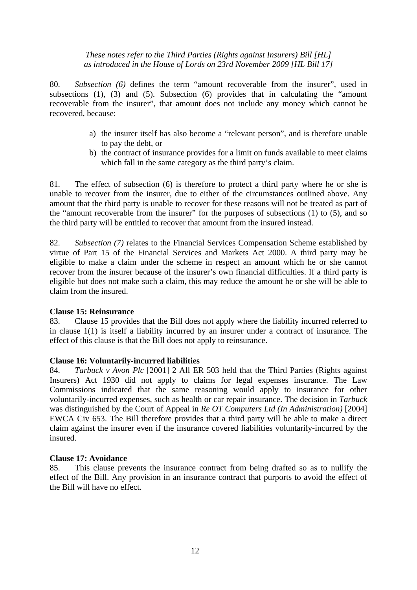80. *Subsection (6)* defines the term "amount recoverable from the insurer", used in subsections (1), (3) and (5). Subsection (6) provides that in calculating the "amount" recoverable from the insurer", that amount does not include any money which cannot be recovered, because:

- a) the insurer itself has also become a "relevant person", and is therefore unable to pay the debt, or
- b) the contract of insurance provides for a limit on funds available to meet claims which fall in the same category as the third party's claim.

81. The effect of subsection (6) is therefore to protect a third party where he or she is unable to recover from the insurer, due to either of the circumstances outlined above. Any amount that the third party is unable to recover for these reasons will not be treated as part of the "amount recoverable from the insurer" for the purposes of subsections  $(1)$  to  $(5)$ , and so the third party will be entitled to recover that amount from the insured instead.

82. *Subsection (7)* relates to the Financial Services Compensation Scheme established by virtue of Part 15 of the Financial Services and Markets Act 2000. A third party may be eligible to make a claim under the scheme in respect an amount which he or she cannot recover from the insurer because of the insurer's own financial difficulties. If a third party is eligible but does not make such a claim, this may reduce the amount he or she will be able to claim from the insured.

#### **Clause 15: Reinsurance**

83. Clause 15 provides that the Bill does not apply where the liability incurred referred to in clause 1(1) is itself a liability incurred by an insurer under a contract of insurance. The effect of this clause is that the Bill does not apply to reinsurance.

#### **Clause 16: Voluntarily-incurred liabilities**

84. *Tarbuck v Avon Plc* [2001] 2 All ER 503 held that the Third Parties (Rights against Insurers) Act 1930 did not apply to claims for legal expenses insurance. The Law Commissions indicated that the same reasoning would apply to insurance for other voluntarily-incurred expenses, such as health or car repair insurance. The decision in *Tarbuck* was distinguished by the Court of Appeal in *Re OT Computers Ltd (In Administration)* [2004] EWCA Civ 653. The Bill therefore provides that a third party will be able to make a direct claim against the insurer even if the insurance covered liabilities voluntarily-incurred by the insured.

## **Clause 17: Avoidance**

85. This clause prevents the insurance contract from being drafted so as to nullify the effect of the Bill. Any provision in an insurance contract that purports to avoid the effect of the Bill will have no effect.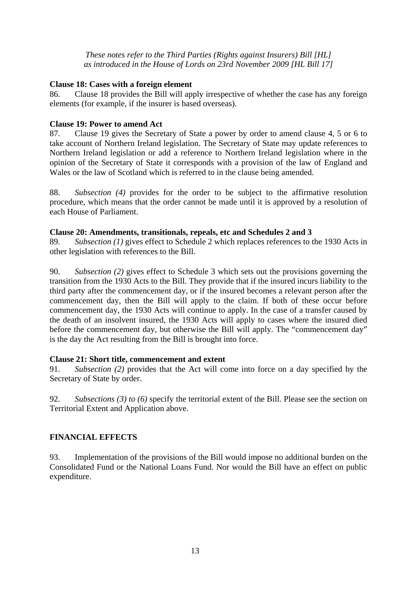#### **Clause 18: Cases with a foreign element**

86. Clause 18 provides the Bill will apply irrespective of whether the case has any foreign elements (for example, if the insurer is based overseas).

#### **Clause 19: Power to amend Act**

87. Clause 19 gives the Secretary of State a power by order to amend clause 4, 5 or 6 to take account of Northern Ireland legislation. The Secretary of State may update references to Northern Ireland legislation or add a reference to Northern Ireland legislation where in the opinion of the Secretary of State it corresponds with a provision of the law of England and Wales or the law of Scotland which is referred to in the clause being amended.

88. *Subsection (4)* provides for the order to be subject to the affirmative resolution procedure, which means that the order cannot be made until it is approved by a resolution of each House of Parliament.

#### **Clause 20: Amendments, transitionals, repeals, etc and Schedules 2 and 3**

89. *Subsection (1)* gives effect to Schedule 2 which replaces references to the 1930 Acts in other legislation with references to the Bill.

90. *Subsection (2)* gives effect to Schedule 3 which sets out the provisions governing the transition from the 1930 Acts to the Bill. They provide that if the insured incurs liability to the third party after the commencement day, or if the insured becomes a relevant person after the commencement day, then the Bill will apply to the claim. If both of these occur before commencement day, the 1930 Acts will continue to apply. In the case of a transfer caused by the death of an insolvent insured, the 1930 Acts will apply to cases where the insured died before the commencement day, but otherwise the Bill will apply. The "commencement day" is the day the Act resulting from the Bill is brought into force.

## **Clause 21: Short title, commencement and extent**

91. *Subsection (2)* provides that the Act will come into force on a day specified by the Secretary of State by order.

92. *Subsections (3) to (6)* specify the territorial extent of the Bill. Please see the section on Territorial Extent and Application above.

## **FINANCIAL EFFECTS**

93. Implementation of the provisions of the Bill would impose no additional burden on the Consolidated Fund or the National Loans Fund. Nor would the Bill have an effect on public expenditure.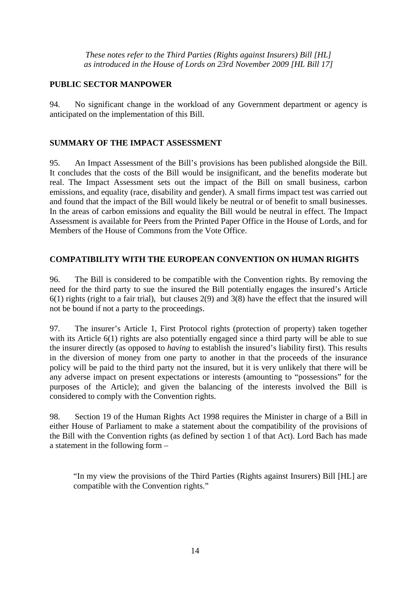## **PUBLIC SECTOR MANPOWER**

94. No significant change in the workload of any Government department or agency is anticipated on the implementation of this Bill.

## **SUMMARY OF THE IMPACT ASSESSMENT**

95. An Impact Assessment of the Bill's provisions has been published alongside the Bill. It concludes that the costs of the Bill would be insignificant, and the benefits moderate but real. The Impact Assessment sets out the impact of the Bill on small business, carbon emissions, and equality (race, disability and gender). A small firms impact test was carried out and found that the impact of the Bill would likely be neutral or of benefit to small businesses. In the areas of carbon emissions and equality the Bill would be neutral in effect. The Impact Assessment is available for Peers from the Printed Paper Office in the House of Lords, and for Members of the House of Commons from the Vote Office.

#### **COMPATIBILITY WITH THE EUROPEAN CONVENTION ON HUMAN RIGHTS**

96. The Bill is considered to be compatible with the Convention rights. By removing the need for the third party to sue the insured the Bill potentially engages the insured's Article  $6(1)$  rights (right to a fair trial), but clauses 2(9) and 3(8) have the effect that the insured will not be bound if not a party to the proceedings.

97. The insurer's Article 1, First Protocol rights (protection of property) taken together with its Article 6(1) rights are also potentially engaged since a third party will be able to sue the insurer directly (as opposed to *having* to establish the insured's liability first). This results in the diversion of money from one party to another in that the proceeds of the insurance policy will be paid to the third party not the insured, but it is very unlikely that there will be any adverse impact on present expectations or interests (amounting to "possessions" for the purposes of the Article); and given the balancing of the interests involved the Bill is considered to comply with the Convention rights.

98. Section 19 of the Human Rights Act 1998 requires the Minister in charge of a Bill in either House of Parliament to make a statement about the compatibility of the provisions of the Bill with the Convention rights (as defined by section 1 of that Act). Lord Bach has made a statement in the following form –

"In my view the provisions of the Third Parties (Rights against Insurers) Bill [HL] are compatible with the Convention rights."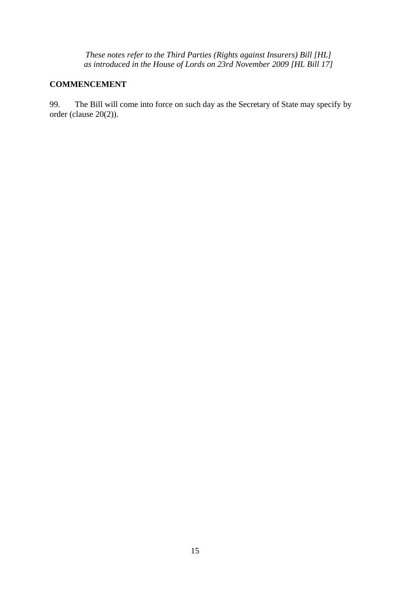## **COMMENCEMENT**

99. The Bill will come into force on such day as the Secretary of State may specify by order (clause 20(2)).